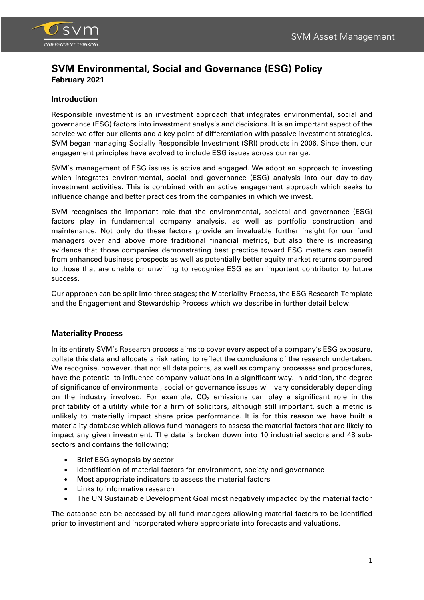

## **Introduction**

Responsible investment is an investment approach that integrates environmental, social and governance (ESG) factors into investment analysis and decisions. It is an important aspect of the service we offer our clients and a key point of differentiation with passive investment strategies. SVM began managing Socially Responsible Investment (SRI) products in 2006. Since then, our engagement principles have evolved to include ESG issues across our range.

SVM's management of ESG issues is active and engaged. We adopt an approach to investing which integrates environmental, social and governance (ESG) analysis into our day-to-day investment activities. This is combined with an active engagement approach which seeks to influence change and better practices from the companies in which we invest.

SVM recognises the important role that the environmental, societal and governance (ESG) factors play in fundamental company analysis, as well as portfolio construction and maintenance. Not only do these factors provide an invaluable further insight for our fund managers over and above more traditional financial metrics, but also there is increasing evidence that those companies demonstrating best practice toward ESG matters can benefit from enhanced business prospects as well as potentially better equity market returns compared to those that are unable or unwilling to recognise ESG as an important contributor to future success.

Our approach can be split into three stages; the Materiality Process, the ESG Research Template and the Engagement and Stewardship Process which we describe in further detail below.

### **Materiality Process**

In its entirety SVM's Research process aims to cover every aspect of a company's ESG exposure, collate this data and allocate a risk rating to reflect the conclusions of the research undertaken. We recognise, however, that not all data points, as well as company processes and procedures, have the potential to influence company valuations in a significant way. In addition, the degree of significance of environmental, social or governance issues will vary considerably depending on the industry involved. For example,  $CO<sub>2</sub>$  emissions can play a significant role in the profitability of a utility while for a firm of solicitors, although still important, such a metric is unlikely to materially impact share price performance. It is for this reason we have built a materiality database which allows fund managers to assess the material factors that are likely to impact any given investment. The data is broken down into 10 industrial sectors and 48 subsectors and contains the following;

- Brief ESG synopsis by sector
- Identification of material factors for environment, society and governance
- Most appropriate indicators to assess the material factors
- Links to informative research
- The UN Sustainable Development Goal most negatively impacted by the material factor

The database can be accessed by all fund managers allowing material factors to be identified prior to investment and incorporated where appropriate into forecasts and valuations.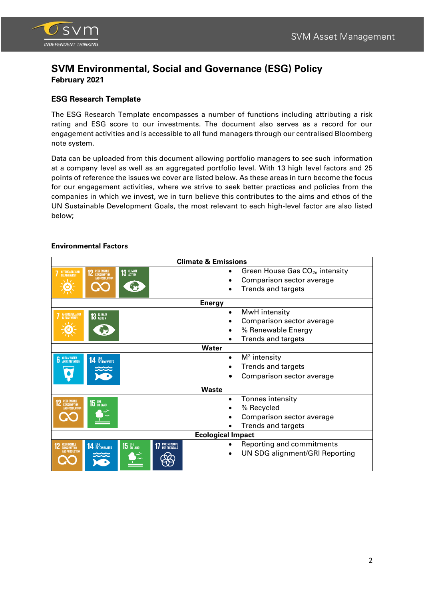

## **ESG Research Template**

The ESG Research Template encompasses a number of functions including attributing a risk rating and ESG score to our investments. The document also serves as a record for our engagement activities and is accessible to all fund managers through our centralised Bloomberg note system.

Data can be uploaded from this document allowing portfolio managers to see such information at a company level as well as an aggregated portfolio level. With 13 high level factors and 25 points of reference the issues we cover are listed below. As these areas in turn become the focus for our engagement activities, where we strive to seek better practices and policies from the companies in which we invest, we in turn believe this contributes to the aims and ethos of the UN Sustainable Development Goals, the most relevant to each high-level factor are also listed below;

| <b>Climate &amp; Emissions</b>                                                                                                    |                                                                                                     |  |  |  |  |  |
|-----------------------------------------------------------------------------------------------------------------------------------|-----------------------------------------------------------------------------------------------------|--|--|--|--|--|
| 13 GLIMATE<br>AFFORDABLE AND<br>CLEAN ENERGY<br><b>12</b> RESPONSIBLE<br>AND PRODUCTION                                           | Green House Gas CO <sub>2e</sub> intensity<br>Comparison sector average<br>Trends and targets       |  |  |  |  |  |
| <b>Energy</b>                                                                                                                     |                                                                                                     |  |  |  |  |  |
| AFFORDABLE AND<br>CLEAN ENERGY<br>13 GLIMATE                                                                                      | MwH intensity<br>$\bullet$<br>Comparison sector average<br>% Renewable Energy<br>Trends and targets |  |  |  |  |  |
| Water                                                                                                                             |                                                                                                     |  |  |  |  |  |
| <b>6</b> CLEANWATER<br><b>14 LIFE</b> BELOW WATER                                                                                 | $M3$ intensity<br>$\bullet$<br>Trends and targets<br>Comparison sector average                      |  |  |  |  |  |
| <b>Waste</b>                                                                                                                      |                                                                                                     |  |  |  |  |  |
| 15 UFE<br><b>CONSUMPTION</b><br>AND PRODUCTION                                                                                    | Tonnes intensity<br>% Recycled<br>Comparison sector average<br><b>Trends and targets</b>            |  |  |  |  |  |
| <b>Ecological Impact</b>                                                                                                          |                                                                                                     |  |  |  |  |  |
| <b>17 PARTNERSHIPS</b><br><b>14 LIFE</b> BELOW WATER<br>$15$ ON LAND<br><b>RESPONSIBLE</b><br>CONSUMPTION<br><b>WD PRODUCTION</b> | Reporting and commitments<br>UN SDG alignment/GRI Reporting                                         |  |  |  |  |  |

## **Environmental Factors**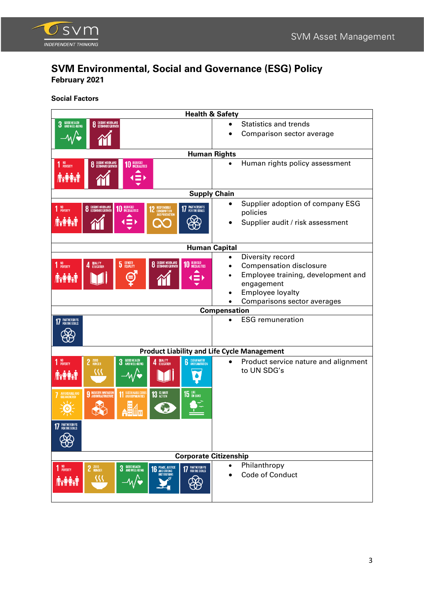

**Social Factors**

| <b>Health &amp; Safety</b>                         |                              |                                      |                                              |                        |  |                                      |  |  |
|----------------------------------------------------|------------------------------|--------------------------------------|----------------------------------------------|------------------------|--|--------------------------------------|--|--|
| GOOD HEALTH<br>And Well-Being<br>3                 | <b>8</b> DECENT WORK AND     |                                      |                                              |                        |  | <b>Statistics and trends</b>         |  |  |
|                                                    |                              |                                      |                                              |                        |  | Comparison sector average            |  |  |
|                                                    |                              |                                      |                                              |                        |  |                                      |  |  |
| <b>Human Rights</b>                                |                              |                                      |                                              |                        |  |                                      |  |  |
| 1 NO <sub>POVERTY</sub>                            | 8 DECENT WORK AND            | REDUCED<br>INEQUALITIES<br>10        |                                              |                        |  | Human rights policy assessment       |  |  |
| <b>NYAYAN</b>                                      |                              |                                      |                                              |                        |  |                                      |  |  |
| <b>Supply Chain</b>                                |                              |                                      |                                              |                        |  |                                      |  |  |
|                                                    |                              |                                      |                                              |                        |  | Supplier adoption of company ESG     |  |  |
| 1 <sup>NO</sup><br>POVERTY                         | 8 DECENT WORK AND            | <b>10 REDUCED</b>                    | RESPONSIBLE<br>Consumption<br>And production | <b>17 PARTNERSHIPS</b> |  | policies                             |  |  |
| <b>Treat</b>                                       |                              | $\equiv$                             |                                              |                        |  | Supplier audit / risk assessment     |  |  |
|                                                    |                              |                                      |                                              |                        |  |                                      |  |  |
|                                                    |                              |                                      |                                              |                        |  |                                      |  |  |
| <b>Human Capital</b>                               |                              |                                      |                                              |                        |  |                                      |  |  |
|                                                    |                              | GENDER<br>EQUALITY<br>$\overline{5}$ | 8 DEGENT WORK AND                            | 10 REDUCED             |  | Diversity record                     |  |  |
| NO<br>Poverty                                      | QUALITY<br>Education         |                                      |                                              |                        |  | <b>Compensation disclosure</b>       |  |  |
| <b>AXAX</b>                                        |                              |                                      |                                              |                        |  | Employee training, development and   |  |  |
|                                                    |                              |                                      |                                              |                        |  | engagement<br>Employee loyalty       |  |  |
|                                                    |                              |                                      |                                              |                        |  |                                      |  |  |
| Comparisons sector averages<br><b>Compensation</b> |                              |                                      |                                              |                        |  |                                      |  |  |
| <b>17</b> PARTNERSHIPS                             |                              |                                      |                                              |                        |  | <b>ESG</b> remuneration              |  |  |
|                                                    |                              |                                      |                                              |                        |  |                                      |  |  |
|                                                    |                              |                                      |                                              |                        |  |                                      |  |  |
| <b>Product Liability and Life Cycle Management</b> |                              |                                      |                                              |                        |  |                                      |  |  |
| 1 <sup>NO</sup> POVERTY                            | 2 ZERO                       | <b>3</b> GOOD HEALTH                 | QUALITY<br>Education<br>Δ                    | <b>6</b> CLEANWATER    |  | Product service nature and alignment |  |  |
| <b>Axash</b>                                       | {{{                          |                                      |                                              |                        |  | to UN SDG's                          |  |  |
|                                                    |                              |                                      |                                              |                        |  |                                      |  |  |
| AFFORDABLE AND<br>Gleanenergy                      | <b>9 INDUSTRY.INNOVATION</b> | 11 SUSTAINABLE CITIES                | <b>13 GLIMATE</b>                            | 15 <b>UFE</b>          |  |                                      |  |  |
|                                                    |                              |                                      |                                              |                        |  |                                      |  |  |
|                                                    |                              |                                      |                                              |                        |  |                                      |  |  |
| <b>PARTNERSHIPS</b>                                |                              |                                      |                                              |                        |  |                                      |  |  |
|                                                    |                              |                                      |                                              |                        |  |                                      |  |  |
|                                                    |                              |                                      |                                              |                        |  |                                      |  |  |
| <b>Corporate Citizenship</b>                       |                              |                                      |                                              |                        |  |                                      |  |  |
| 1 NO <sub>POVERTY</sub>                            | 2 ZERO                       | 3 GOOD HEALTH                        | <b>16 PEACE, JUSTICE</b>                     | 17 PARTNERSHIPS        |  | Philanthropy                         |  |  |
|                                                    |                              |                                      | <b>INSTITUTIONS</b>                          |                        |  | Code of Conduct                      |  |  |
| <b>RATH</b>                                        |                              |                                      |                                              |                        |  |                                      |  |  |
|                                                    |                              |                                      |                                              |                        |  |                                      |  |  |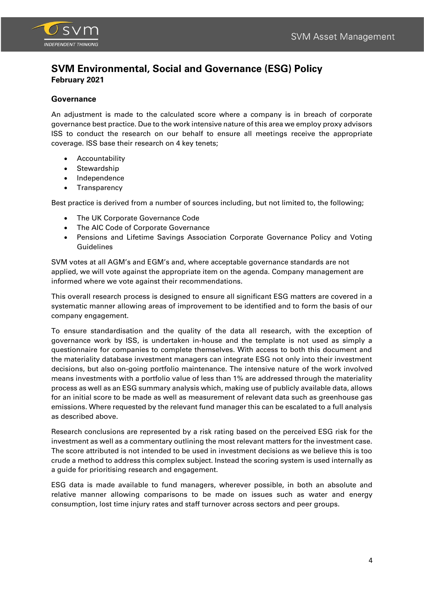

## **Governance**

An adjustment is made to the calculated score where a company is in breach of corporate governance best practice. Due to the work intensive nature of this area we employ proxy advisors ISS to conduct the research on our behalf to ensure all meetings receive the appropriate coverage. ISS base their research on 4 key tenets;

- **Accountability**
- Stewardship
- Independence
- Transparency

Best practice is derived from a number of sources including, but not limited to, the following;

- The UK Corporate Governance Code
- The AIC Code of Corporate Governance
- Pensions and Lifetime Savings Association Corporate Governance Policy and Voting Guidelines

SVM votes at all AGM's and EGM's and, where acceptable governance standards are not applied, we will vote against the appropriate item on the agenda. Company management are informed where we vote against their recommendations.

This overall research process is designed to ensure all significant ESG matters are covered in a systematic manner allowing areas of improvement to be identified and to form the basis of our company engagement.

To ensure standardisation and the quality of the data all research, with the exception of governance work by ISS, is undertaken in-house and the template is not used as simply a questionnaire for companies to complete themselves. With access to both this document and the materiality database investment managers can integrate ESG not only into their investment decisions, but also on-going portfolio maintenance. The intensive nature of the work involved means investments with a portfolio value of less than 1% are addressed through the materiality process as well as an ESG summary analysis which, making use of publicly available data, allows for an initial score to be made as well as measurement of relevant data such as greenhouse gas emissions. Where requested by the relevant fund manager this can be escalated to a full analysis as described above.

Research conclusions are represented by a risk rating based on the perceived ESG risk for the investment as well as a commentary outlining the most relevant matters for the investment case. The score attributed is not intended to be used in investment decisions as we believe this is too crude a method to address this complex subject. Instead the scoring system is used internally as a guide for prioritising research and engagement.

ESG data is made available to fund managers, wherever possible, in both an absolute and relative manner allowing comparisons to be made on issues such as water and energy consumption, lost time injury rates and staff turnover across sectors and peer groups.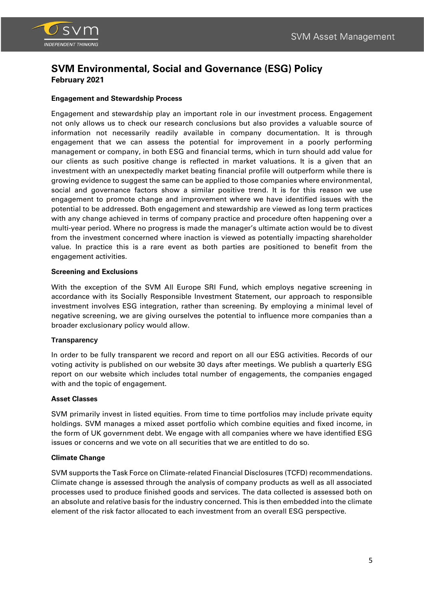

### **Engagement and Stewardship Process**

Engagement and stewardship play an important role in our investment process. Engagement not only allows us to check our research conclusions but also provides a valuable source of information not necessarily readily available in company documentation. It is through engagement that we can assess the potential for improvement in a poorly performing management or company, in both ESG and financial terms, which in turn should add value for our clients as such positive change is reflected in market valuations. It is a given that an investment with an unexpectedly market beating financial profile will outperform while there is growing evidence to suggest the same can be applied to those companies where environmental, social and governance factors show a similar positive trend. It is for this reason we use engagement to promote change and improvement where we have identified issues with the potential to be addressed. Both engagement and stewardship are viewed as long term practices with any change achieved in terms of company practice and procedure often happening over a multi-year period. Where no progress is made the manager's ultimate action would be to divest from the investment concerned where inaction is viewed as potentially impacting shareholder value. In practice this is a rare event as both parties are positioned to benefit from the engagement activities.

#### **Screening and Exclusions**

With the exception of the SVM All Europe SRI Fund, which employs negative screening in accordance with its Socially Responsible Investment Statement, our approach to responsible investment involves ESG integration, rather than screening. By employing a minimal level of negative screening, we are giving ourselves the potential to influence more companies than a broader exclusionary policy would allow.

### **Transparency**

In order to be fully transparent we record and report on all our ESG activities. Records of our voting activity is published on our website 30 days after meetings. We publish a quarterly ESG report on our website which includes total number of engagements, the companies engaged with and the topic of engagement.

#### **Asset Classes**

SVM primarily invest in listed equities. From time to time portfolios may include private equity holdings. SVM manages a mixed asset portfolio which combine equities and fixed income, in the form of UK government debt. We engage with all companies where we have identified ESG issues or concerns and we vote on all securities that we are entitled to do so.

### **Climate Change**

SVM supports the Task Force on Climate-related Financial Disclosures (TCFD) recommendations. Climate change is assessed through the analysis of company products as well as all associated processes used to produce finished goods and services. The data collected is assessed both on an absolute and relative basis for the industry concerned. This is then embedded into the climate element of the risk factor allocated to each investment from an overall ESG perspective.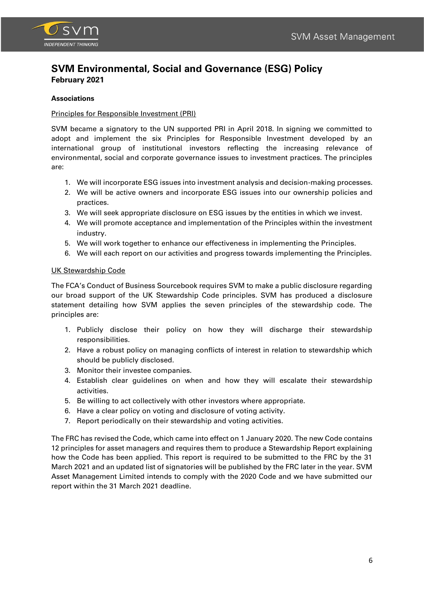

### **Associations**

### Principles for Responsible Investment (PRI)

SVM became a signatory to the UN supported PRI in April 2018. In signing we committed to adopt and implement the six Principles for Responsible Investment developed by an international group of institutional investors reflecting the increasing relevance of environmental, social and corporate governance issues to investment practices. The principles are:

- 1. We will incorporate ESG issues into investment analysis and decision-making processes.
- 2. We will be active owners and incorporate ESG issues into our ownership policies and practices.
- 3. We will seek appropriate disclosure on ESG issues by the entities in which we invest.
- 4. We will promote acceptance and implementation of the Principles within the investment industry.
- 5. We will work together to enhance our effectiveness in implementing the Principles.
- 6. We will each report on our activities and progress towards implementing the Principles.

### UK Stewardship Code

The FCA's Conduct of Business Sourcebook requires SVM to make a public disclosure regarding our broad support of the UK Stewardship Code principles. SVM has produced a disclosure statement detailing how SVM applies the seven principles of the stewardship code. The principles are:

- 1. Publicly disclose their policy on how they will discharge their stewardship responsibilities.
- 2. Have a robust policy on managing conflicts of interest in relation to stewardship which should be publicly disclosed.
- 3. Monitor their investee companies.
- 4. Establish clear guidelines on when and how they will escalate their stewardship activities.
- 5. Be willing to act collectively with other investors where appropriate.
- 6. Have a clear policy on voting and disclosure of voting activity.
- 7. Report periodically on their stewardship and voting activities.

The FRC has revised the Code, which came into effect on 1 January 2020. The new Code contains 12 principles for asset managers and requires them to produce a Stewardship Report explaining how the Code has been applied. This report is required to be submitted to the FRC by the 31 March 2021 and an updated list of signatories will be published by the FRC later in the year. SVM Asset Management Limited intends to comply with the 2020 Code and we have submitted our report within the 31 March 2021 deadline.